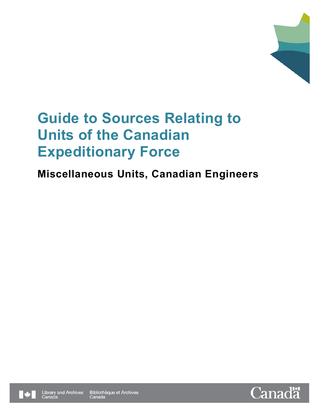

# **Guide to Sources Relating to Units of the Canadian Expeditionary Force**

## **Miscellaneous Units, Canadian Engineers**



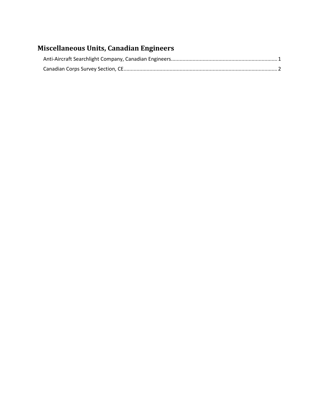### **Miscellaneous Units, Canadian Engineers**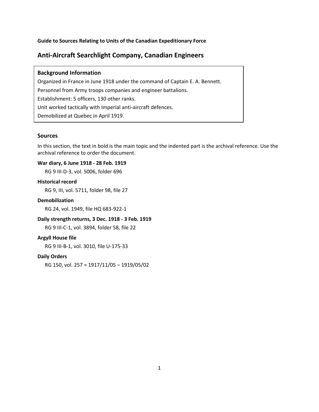**Guide to Sources Relating to Units of the Canadian Expeditionary Force**

#### <span id="page-2-0"></span>**Anti-Aircraft Searchlight Company, Canadian Engineers**

#### **Background Information**

Organized in France in June 1918 under the command of Captain E. A. Bennett. Personnel from Army troops companies and engineer battalions. Establishment: 5 officers, 130 other ranks. Unit worked tactically with Imperial anti-aircraft defences. Demobilized at Quebec in April 1919.

#### **Sources**

In this section, the text in bold is the main topic and the indented part is the archival reference. Use the archival reference to order the document.

#### **War diary, 6 June 1918 - 28 Feb. 1919**

RG 9 III-D-3, vol. 5006, folder 696

#### **Historical record**

RG 9, III, vol. 5711, folder 98, file 27

#### **Demobilization**

RG 24, vol. 1949, file HQ 683-922-1

#### **Daily strength returns, 3 Dec. 1918 - 3 Feb. 1919**

RG 9 III-C-1, vol. 3894, folder 58, file 22

#### **Argyll House file**

RG 9 III-B-1, vol. 3010, file U-175-33

#### **Daily Orders**

RG 150, vol. 257 = 1917/11/05 – 1919/05/02